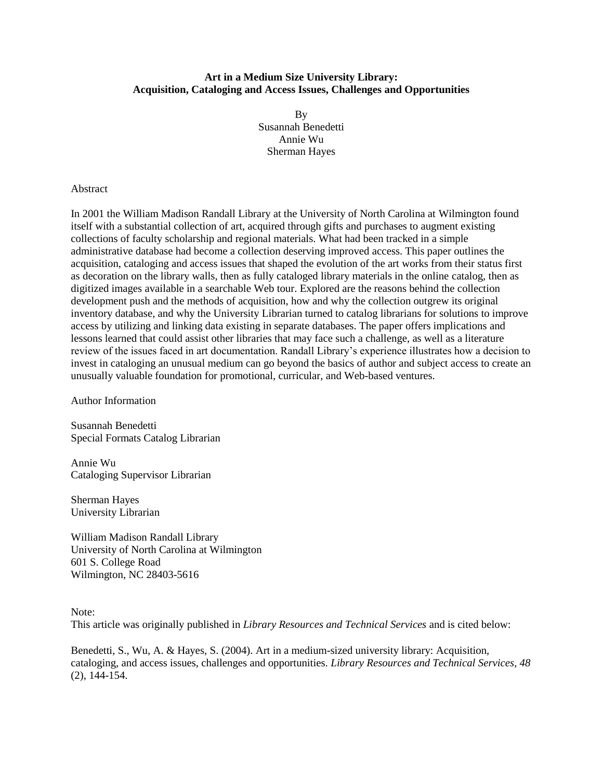## **Art in a Medium Size University Library: Acquisition, Cataloging and Access Issues, Challenges and Opportunities**

By Susannah Benedetti Annie Wu Sherman Hayes

## Abstract

In 2001 the William Madison Randall Library at the University of North Carolina at Wilmington found itself with a substantial collection of art, acquired through gifts and purchases to augment existing collections of faculty scholarship and regional materials. What had been tracked in a simple administrative database had become a collection deserving improved access. This paper outlines the acquisition, cataloging and access issues that shaped the evolution of the art works from their status first as decoration on the library walls, then as fully cataloged library materials in the online catalog, then as digitized images available in a searchable Web tour. Explored are the reasons behind the collection development push and the methods of acquisition, how and why the collection outgrew its original inventory database, and why the University Librarian turned to catalog librarians for solutions to improve access by utilizing and linking data existing in separate databases. The paper offers implications and lessons learned that could assist other libraries that may face such a challenge, as well as a literature review of the issues faced in art documentation. Randall Library's experience illustrates how a decision to invest in cataloging an unusual medium can go beyond the basics of author and subject access to create an unusually valuable foundation for promotional, curricular, and Web-based ventures.

Author Information

Susannah Benedetti Special Formats Catalog Librarian

Annie Wu Cataloging Supervisor Librarian

Sherman Hayes University Librarian

William Madison Randall Library University of North Carolina at Wilmington 601 S. College Road Wilmington, NC 28403-5616

Note:

This article was originally published in *Library Resources and Technical Services* and is cited below:

Benedetti, S., Wu, A. & Hayes, S. (2004). Art in a medium-sized university library: Acquisition, cataloging, and access issues, challenges and opportunities. *Library Resources and Technical Services, 48* (2), 144-154.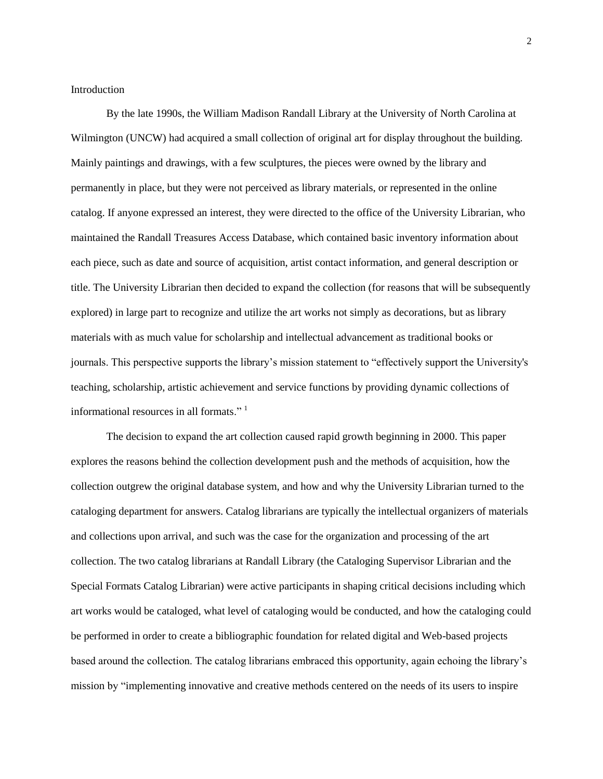**Introduction** 

By the late 1990s, the William Madison Randall Library at the University of North Carolina at Wilmington (UNCW) had acquired a small collection of original art for display throughout the building. Mainly paintings and drawings, with a few sculptures, the pieces were owned by the library and permanently in place, but they were not perceived as library materials, or represented in the online catalog. If anyone expressed an interest, they were directed to the office of the University Librarian, who maintained the Randall Treasures Access Database, which contained basic inventory information about each piece, such as date and source of acquisition, artist contact information, and general description or title. The University Librarian then decided to expand the collection (for reasons that will be subsequently explored) in large part to recognize and utilize the art works not simply as decorations, but as library materials with as much value for scholarship and intellectual advancement as traditional books or journals. This perspective supports the library's mission statement to "effectively support the University's teaching, scholarship, artistic achievement and service functions by providing dynamic collections of informational resources in all formats."<sup>1</sup>

The decision to expand the art collection caused rapid growth beginning in 2000. This paper explores the reasons behind the collection development push and the methods of acquisition, how the collection outgrew the original database system, and how and why the University Librarian turned to the cataloging department for answers. Catalog librarians are typically the intellectual organizers of materials and collections upon arrival, and such was the case for the organization and processing of the art collection. The two catalog librarians at Randall Library (the Cataloging Supervisor Librarian and the Special Formats Catalog Librarian) were active participants in shaping critical decisions including which art works would be cataloged, what level of cataloging would be conducted, and how the cataloging could be performed in order to create a bibliographic foundation for related digital and Web-based projects based around the collection. The catalog librarians embraced this opportunity, again echoing the library's mission by "implementing innovative and creative methods centered on the needs of its users to inspire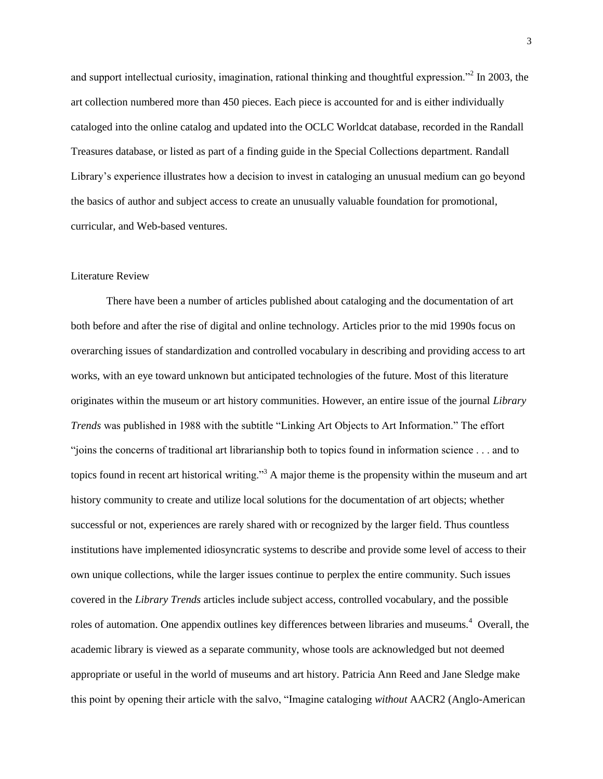and support intellectual curiosity, imagination, rational thinking and thoughtful expression."<sup>2</sup> In 2003, the art collection numbered more than 450 pieces. Each piece is accounted for and is either individually cataloged into the online catalog and updated into the OCLC Worldcat database, recorded in the Randall Treasures database, or listed as part of a finding guide in the Special Collections department. Randall Library's experience illustrates how a decision to invest in cataloging an unusual medium can go beyond the basics of author and subject access to create an unusually valuable foundation for promotional, curricular, and Web-based ventures.

# Literature Review

There have been a number of articles published about cataloging and the documentation of art both before and after the rise of digital and online technology. Articles prior to the mid 1990s focus on overarching issues of standardization and controlled vocabulary in describing and providing access to art works, with an eye toward unknown but anticipated technologies of the future. Most of this literature originates within the museum or art history communities. However, an entire issue of the journal *Library Trends* was published in 1988 with the subtitle "Linking Art Objects to Art Information." The effort "joins the concerns of traditional art librarianship both to topics found in information science . . . and to topics found in recent art historical writing."<sup>3</sup> A major theme is the propensity within the museum and art history community to create and utilize local solutions for the documentation of art objects; whether successful or not, experiences are rarely shared with or recognized by the larger field. Thus countless institutions have implemented idiosyncratic systems to describe and provide some level of access to their own unique collections, while the larger issues continue to perplex the entire community. Such issues covered in the *Library Trends* articles include subject access, controlled vocabulary, and the possible roles of automation. One appendix outlines key differences between libraries and museums.<sup>4</sup> Overall, the academic library is viewed as a separate community, whose tools are acknowledged but not deemed appropriate or useful in the world of museums and art history. Patricia Ann Reed and Jane Sledge make this point by opening their article with the salvo, "Imagine cataloging *without* AACR2 (Anglo-American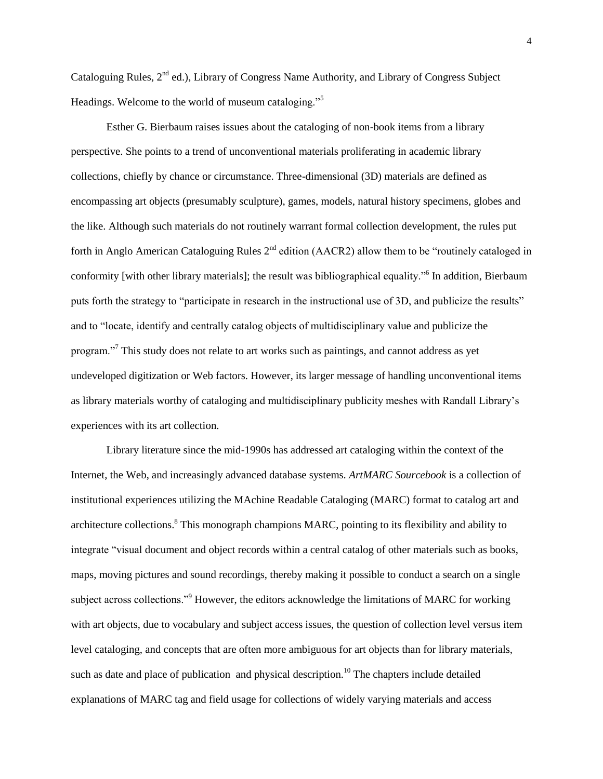Cataloguing Rules, 2<sup>nd</sup> ed.), Library of Congress Name Authority, and Library of Congress Subject Headings. Welcome to the world of museum cataloging."<sup>5</sup>

Esther G. Bierbaum raises issues about the cataloging of non-book items from a library perspective. She points to a trend of unconventional materials proliferating in academic library collections, chiefly by chance or circumstance. Three-dimensional (3D) materials are defined as encompassing art objects (presumably sculpture), games, models, natural history specimens, globes and the like. Although such materials do not routinely warrant formal collection development, the rules put forth in Anglo American Cataloguing Rules  $2<sup>nd</sup>$  edition (AACR2) allow them to be "routinely cataloged in conformity [with other library materials]; the result was bibliographical equality."<sup>6</sup> In addition, Bierbaum puts forth the strategy to "participate in research in the instructional use of 3D, and publicize the results" and to "locate, identify and centrally catalog objects of multidisciplinary value and publicize the program."<sup>7</sup> This study does not relate to art works such as paintings, and cannot address as yet undeveloped digitization or Web factors. However, its larger message of handling unconventional items as library materials worthy of cataloging and multidisciplinary publicity meshes with Randall Library's experiences with its art collection.

Library literature since the mid-1990s has addressed art cataloging within the context of the Internet, the Web, and increasingly advanced database systems. *ArtMARC Sourcebook* is a collection of institutional experiences utilizing the MAchine Readable Cataloging (MARC) format to catalog art and architecture collections.<sup>8</sup> This monograph champions MARC, pointing to its flexibility and ability to integrate "visual document and object records within a central catalog of other materials such as books, maps, moving pictures and sound recordings, thereby making it possible to conduct a search on a single subject across collections."<sup>9</sup> However, the editors acknowledge the limitations of MARC for working with art objects, due to vocabulary and subject access issues, the question of collection level versus item level cataloging, and concepts that are often more ambiguous for art objects than for library materials, such as date and place of publication and physical description.<sup>10</sup> The chapters include detailed explanations of MARC tag and field usage for collections of widely varying materials and access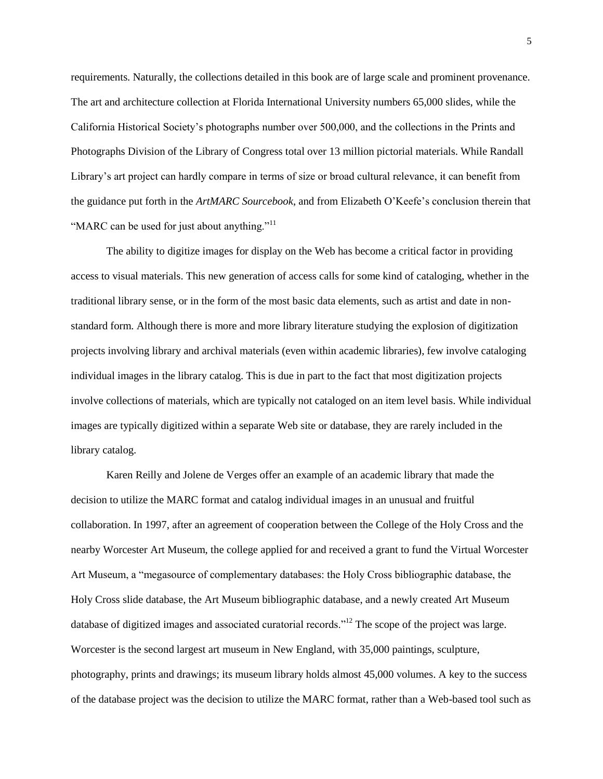requirements. Naturally, the collections detailed in this book are of large scale and prominent provenance. The art and architecture collection at Florida International University numbers 65,000 slides, while the California Historical Society's photographs number over 500,000, and the collections in the Prints and Photographs Division of the Library of Congress total over 13 million pictorial materials. While Randall Library's art project can hardly compare in terms of size or broad cultural relevance, it can benefit from the guidance put forth in the *ArtMARC Sourcebook*, and from Elizabeth O'Keefe's conclusion therein that "MARC can be used for just about anything."<sup>11</sup>

The ability to digitize images for display on the Web has become a critical factor in providing access to visual materials. This new generation of access calls for some kind of cataloging, whether in the traditional library sense, or in the form of the most basic data elements, such as artist and date in nonstandard form. Although there is more and more library literature studying the explosion of digitization projects involving library and archival materials (even within academic libraries), few involve cataloging individual images in the library catalog. This is due in part to the fact that most digitization projects involve collections of materials, which are typically not cataloged on an item level basis. While individual images are typically digitized within a separate Web site or database, they are rarely included in the library catalog.

Karen Reilly and Jolene de Verges offer an example of an academic library that made the decision to utilize the MARC format and catalog individual images in an unusual and fruitful collaboration. In 1997, after an agreement of cooperation between the College of the Holy Cross and the nearby Worcester Art Museum, the college applied for and received a grant to fund the Virtual Worcester Art Museum, a "megasource of complementary databases: the Holy Cross bibliographic database, the Holy Cross slide database, the Art Museum bibliographic database, and a newly created Art Museum database of digitized images and associated curatorial records."<sup>12</sup> The scope of the project was large. Worcester is the second largest art museum in New England, with 35,000 paintings, sculpture, photography, prints and drawings; its museum library holds almost 45,000 volumes. A key to the success of the database project was the decision to utilize the MARC format, rather than a Web-based tool such as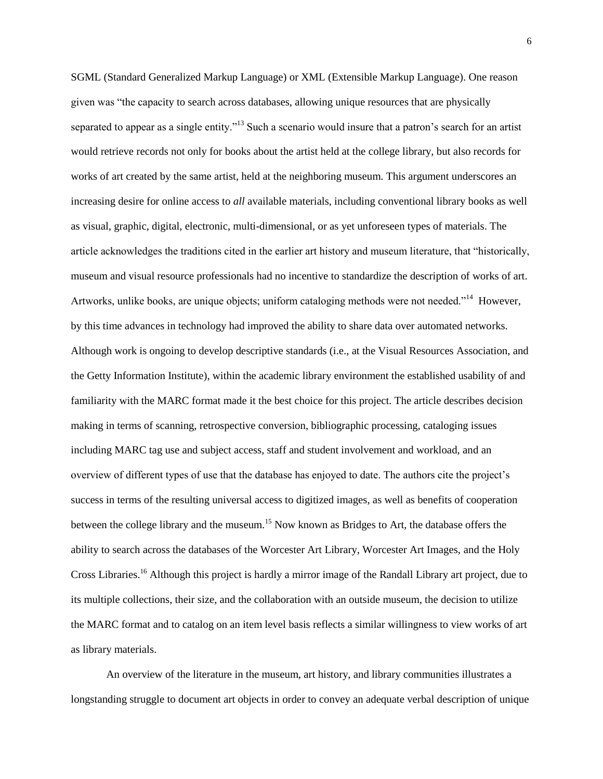SGML (Standard Generalized Markup Language) or XML (Extensible Markup Language). One reason given was "the capacity to search across databases, allowing unique resources that are physically separated to appear as a single entity.<sup>"13</sup> Such a scenario would insure that a patron's search for an artist would retrieve records not only for books about the artist held at the college library, but also records for works of art created by the same artist, held at the neighboring museum. This argument underscores an increasing desire for online access to *all* available materials, including conventional library books as well as visual, graphic, digital, electronic, multi-dimensional, or as yet unforeseen types of materials. The article acknowledges the traditions cited in the earlier art history and museum literature, that "historically, museum and visual resource professionals had no incentive to standardize the description of works of art. Artworks, unlike books, are unique objects; uniform cataloging methods were not needed."<sup>14</sup> However, by this time advances in technology had improved the ability to share data over automated networks. Although work is ongoing to develop descriptive standards (i.e., at the Visual Resources Association, and the Getty Information Institute), within the academic library environment the established usability of and familiarity with the MARC format made it the best choice for this project. The article describes decision making in terms of scanning, retrospective conversion, bibliographic processing, cataloging issues including MARC tag use and subject access, staff and student involvement and workload, and an overview of different types of use that the database has enjoyed to date. The authors cite the project's success in terms of the resulting universal access to digitized images, as well as benefits of cooperation between the college library and the museum.<sup>15</sup> Now known as Bridges to Art, the database offers the ability to search across the databases of the Worcester Art Library, Worcester Art Images, and the Holy Cross Libraries.<sup>16</sup> Although this project is hardly a mirror image of the Randall Library art project, due to its multiple collections, their size, and the collaboration with an outside museum, the decision to utilize the MARC format and to catalog on an item level basis reflects a similar willingness to view works of art as library materials.

An overview of the literature in the museum, art history, and library communities illustrates a longstanding struggle to document art objects in order to convey an adequate verbal description of unique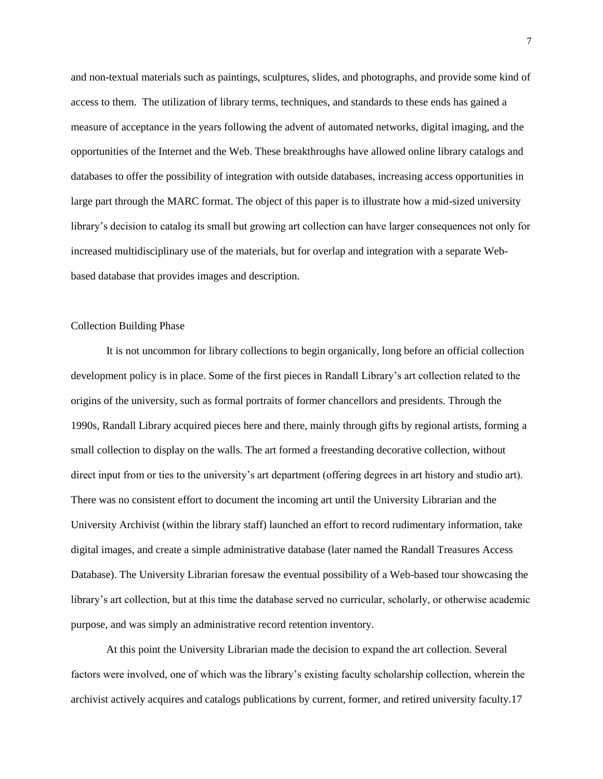and non-textual materials such as paintings, sculptures, slides, and photographs, and provide some kind of access to them. The utilization of library terms, techniques, and standards to these ends has gained a measure of acceptance in the years following the advent of automated networks, digital imaging, and the opportunities of the Internet and the Web. These breakthroughs have allowed online library catalogs and databases to offer the possibility of integration with outside databases, increasing access opportunities in large part through the MARC format. The object of this paper is to illustrate how a mid-sized university library's decision to catalog its small but growing art collection can have larger consequences not only for increased multidisciplinary use of the materials, but for overlap and integration with a separate Webbased database that provides images and description.

#### Collection Building Phase

It is not uncommon for library collections to begin organically, long before an official collection development policy is in place. Some of the first pieces in Randall Library's art collection related to the origins of the university, such as formal portraits of former chancellors and presidents. Through the 1990s, Randall Library acquired pieces here and there, mainly through gifts by regional artists, forming a small collection to display on the walls. The art formed a freestanding decorative collection, without direct input from or ties to the university's art department (offering degrees in art history and studio art). There was no consistent effort to document the incoming art until the University Librarian and the University Archivist (within the library staff) launched an effort to record rudimentary information, take digital images, and create a simple administrative database (later named the Randall Treasures Access Database). The University Librarian foresaw the eventual possibility of a Web-based tour showcasing the library's art collection, but at this time the database served no curricular, scholarly, or otherwise academic purpose, and was simply an administrative record retention inventory.

At this point the University Librarian made the decision to expand the art collection. Several factors were involved, one of which was the library's existing faculty scholarship collection, wherein the archivist actively acquires and catalogs publications by current, former, and retired university faculty.17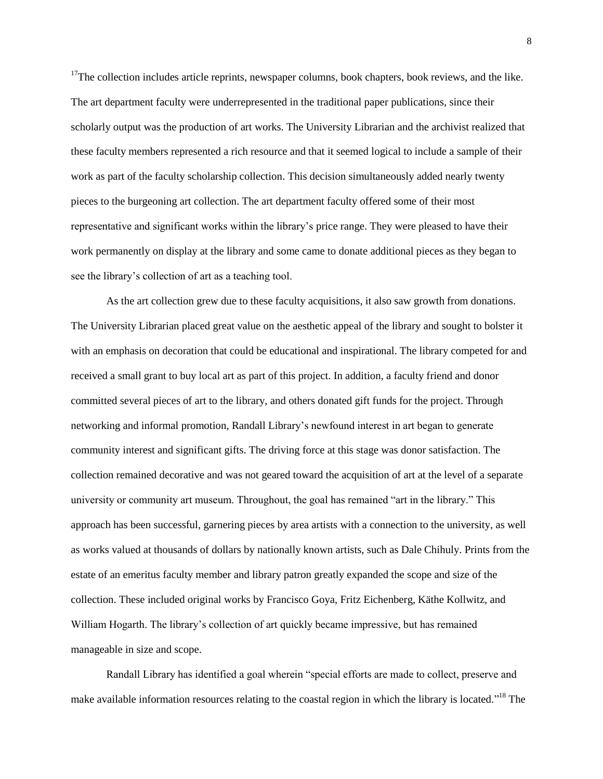<sup>17</sup>The collection includes article reprints, newspaper columns, book chapters, book reviews, and the like. The art department faculty were underrepresented in the traditional paper publications, since their scholarly output was the production of art works. The University Librarian and the archivist realized that these faculty members represented a rich resource and that it seemed logical to include a sample of their work as part of the faculty scholarship collection. This decision simultaneously added nearly twenty pieces to the burgeoning art collection. The art department faculty offered some of their most representative and significant works within the library's price range. They were pleased to have their work permanently on display at the library and some came to donate additional pieces as they began to see the library's collection of art as a teaching tool.

As the art collection grew due to these faculty acquisitions, it also saw growth from donations. The University Librarian placed great value on the aesthetic appeal of the library and sought to bolster it with an emphasis on decoration that could be educational and inspirational. The library competed for and received a small grant to buy local art as part of this project. In addition, a faculty friend and donor committed several pieces of art to the library, and others donated gift funds for the project. Through networking and informal promotion, Randall Library's newfound interest in art began to generate community interest and significant gifts. The driving force at this stage was donor satisfaction. The collection remained decorative and was not geared toward the acquisition of art at the level of a separate university or community art museum. Throughout, the goal has remained "art in the library." This approach has been successful, garnering pieces by area artists with a connection to the university, as well as works valued at thousands of dollars by nationally known artists, such as Dale Chihuly. Prints from the estate of an emeritus faculty member and library patron greatly expanded the scope and size of the collection. These included original works by Francisco Goya, Fritz Eichenberg, Käthe Kollwitz, and William Hogarth. The library's collection of art quickly became impressive, but has remained manageable in size and scope.

Randall Library has identified a goal wherein "special efforts are made to collect, preserve and make available information resources relating to the coastal region in which the library is located."<sup>18</sup> The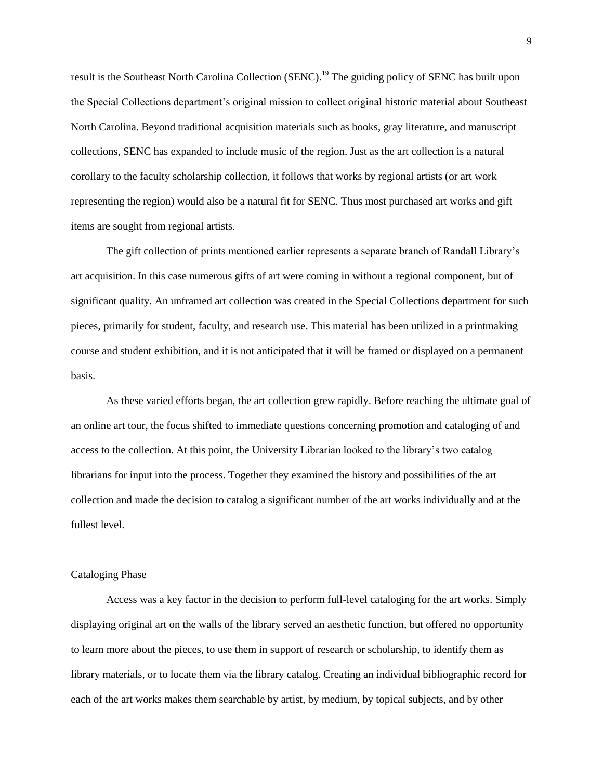result is the Southeast North Carolina Collection (SENC).<sup>19</sup> The guiding policy of SENC has built upon the Special Collections department's original mission to collect original historic material about Southeast North Carolina. Beyond traditional acquisition materials such as books, gray literature, and manuscript collections, SENC has expanded to include music of the region. Just as the art collection is a natural corollary to the faculty scholarship collection, it follows that works by regional artists (or art work representing the region) would also be a natural fit for SENC. Thus most purchased art works and gift items are sought from regional artists.

The gift collection of prints mentioned earlier represents a separate branch of Randall Library's art acquisition. In this case numerous gifts of art were coming in without a regional component, but of significant quality. An unframed art collection was created in the Special Collections department for such pieces, primarily for student, faculty, and research use. This material has been utilized in a printmaking course and student exhibition, and it is not anticipated that it will be framed or displayed on a permanent basis.

As these varied efforts began, the art collection grew rapidly. Before reaching the ultimate goal of an online art tour, the focus shifted to immediate questions concerning promotion and cataloging of and access to the collection. At this point, the University Librarian looked to the library's two catalog librarians for input into the process. Together they examined the history and possibilities of the art collection and made the decision to catalog a significant number of the art works individually and at the fullest level.

## Cataloging Phase

Access was a key factor in the decision to perform full-level cataloging for the art works. Simply displaying original art on the walls of the library served an aesthetic function, but offered no opportunity to learn more about the pieces, to use them in support of research or scholarship, to identify them as library materials, or to locate them via the library catalog. Creating an individual bibliographic record for each of the art works makes them searchable by artist, by medium, by topical subjects, and by other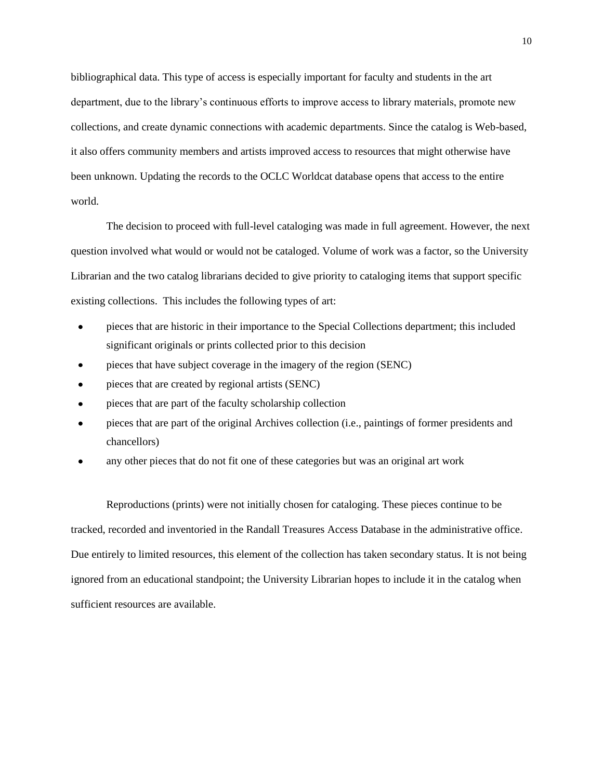bibliographical data. This type of access is especially important for faculty and students in the art department, due to the library's continuous efforts to improve access to library materials, promote new collections, and create dynamic connections with academic departments. Since the catalog is Web-based, it also offers community members and artists improved access to resources that might otherwise have been unknown. Updating the records to the OCLC Worldcat database opens that access to the entire world.

The decision to proceed with full-level cataloging was made in full agreement. However, the next question involved what would or would not be cataloged. Volume of work was a factor, so the University Librarian and the two catalog librarians decided to give priority to cataloging items that support specific existing collections. This includes the following types of art:

- pieces that are historic in their importance to the Special Collections department; this included significant originals or prints collected prior to this decision
- pieces that have subject coverage in the imagery of the region (SENC)
- pieces that are created by regional artists (SENC)
- pieces that are part of the faculty scholarship collection
- pieces that are part of the original Archives collection (i.e., paintings of former presidents and chancellors)
- any other pieces that do not fit one of these categories but was an original art work

Reproductions (prints) were not initially chosen for cataloging. These pieces continue to be tracked, recorded and inventoried in the Randall Treasures Access Database in the administrative office. Due entirely to limited resources, this element of the collection has taken secondary status. It is not being ignored from an educational standpoint; the University Librarian hopes to include it in the catalog when sufficient resources are available.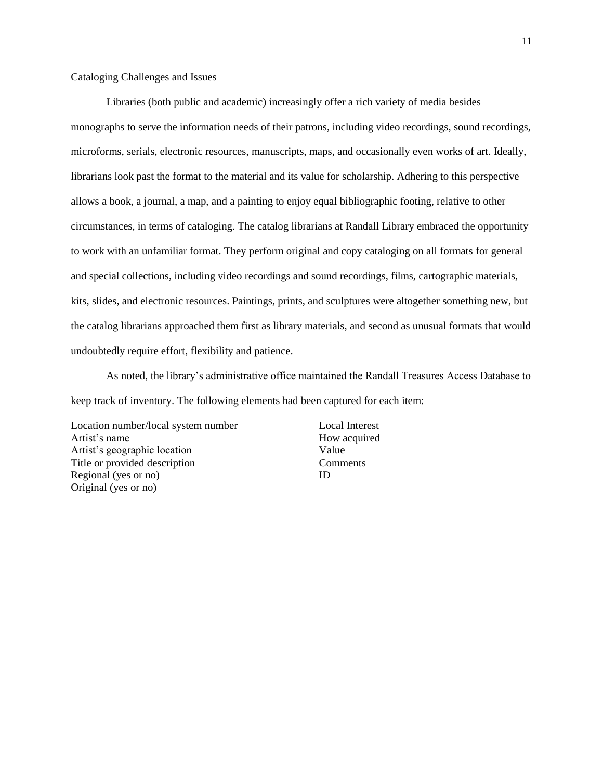## Cataloging Challenges and Issues

Libraries (both public and academic) increasingly offer a rich variety of media besides monographs to serve the information needs of their patrons, including video recordings, sound recordings, microforms, serials, electronic resources, manuscripts, maps, and occasionally even works of art. Ideally, librarians look past the format to the material and its value for scholarship. Adhering to this perspective allows a book, a journal, a map, and a painting to enjoy equal bibliographic footing, relative to other circumstances, in terms of cataloging. The catalog librarians at Randall Library embraced the opportunity to work with an unfamiliar format. They perform original and copy cataloging on all formats for general and special collections, including video recordings and sound recordings, films, cartographic materials, kits, slides, and electronic resources. Paintings, prints, and sculptures were altogether something new, but the catalog librarians approached them first as library materials, and second as unusual formats that would undoubtedly require effort, flexibility and patience.

As noted, the library's administrative office maintained the Randall Treasures Access Database to keep track of inventory. The following elements had been captured for each item:

Location number/local system number Artist's name Artist's geographic location Title or provided description Regional (yes or no) Original (yes or no)

Local Interest How acquired Value **Comments** ID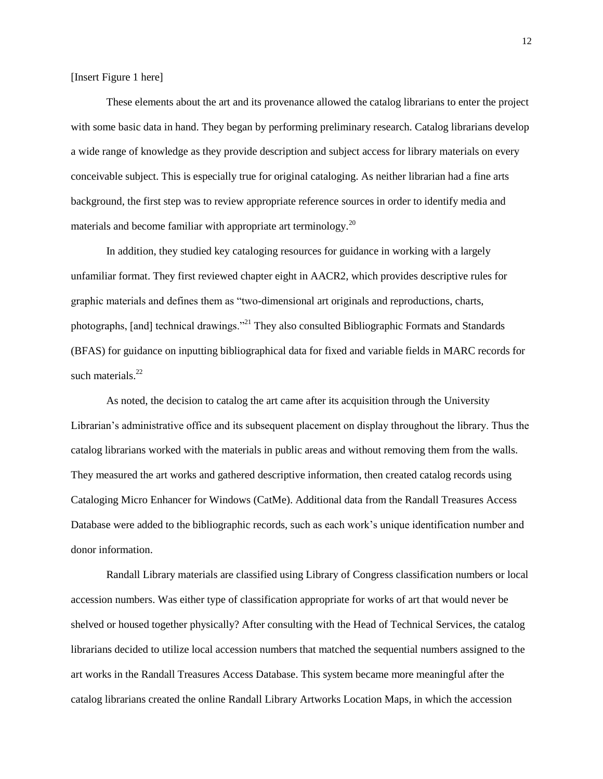[Insert Figure 1 here]

These elements about the art and its provenance allowed the catalog librarians to enter the project with some basic data in hand. They began by performing preliminary research. Catalog librarians develop a wide range of knowledge as they provide description and subject access for library materials on every conceivable subject. This is especially true for original cataloging. As neither librarian had a fine arts background, the first step was to review appropriate reference sources in order to identify media and materials and become familiar with appropriate art terminology.<sup>20</sup>

In addition, they studied key cataloging resources for guidance in working with a largely unfamiliar format. They first reviewed chapter eight in AACR2, which provides descriptive rules for graphic materials and defines them as "two-dimensional art originals and reproductions, charts, photographs, [and] technical drawings."<sup>21</sup> They also consulted Bibliographic Formats and Standards (BFAS) for guidance on inputting bibliographical data for fixed and variable fields in MARC records for such materials. $^{22}$ 

As noted, the decision to catalog the art came after its acquisition through the University Librarian's administrative office and its subsequent placement on display throughout the library. Thus the catalog librarians worked with the materials in public areas and without removing them from the walls. They measured the art works and gathered descriptive information, then created catalog records using Cataloging Micro Enhancer for Windows (CatMe). Additional data from the Randall Treasures Access Database were added to the bibliographic records, such as each work's unique identification number and donor information.

Randall Library materials are classified using Library of Congress classification numbers or local accession numbers. Was either type of classification appropriate for works of art that would never be shelved or housed together physically? After consulting with the Head of Technical Services, the catalog librarians decided to utilize local accession numbers that matched the sequential numbers assigned to the art works in the Randall Treasures Access Database. This system became more meaningful after the catalog librarians created the online Randall Library Artworks Location Maps, in which the accession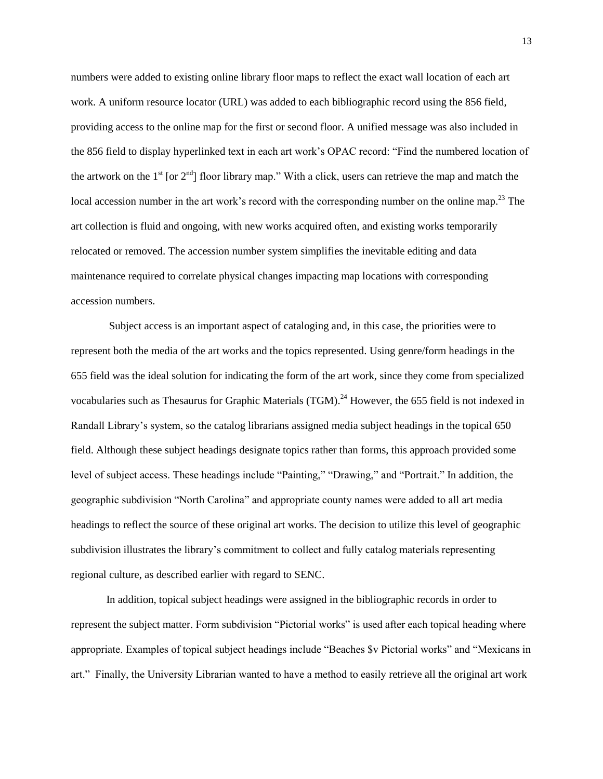numbers were added to existing online library floor maps to reflect the exact wall location of each art work. A uniform resource locator (URL) was added to each bibliographic record using the 856 field, providing access to the online map for the first or second floor. A unified message was also included in the 856 field to display hyperlinked text in each art work's OPAC record: "Find the numbered location of the artwork on the  $1<sup>st</sup>$  [or  $2<sup>nd</sup>$ ] floor library map." With a click, users can retrieve the map and match the local accession number in the art work's record with the corresponding number on the online map.<sup>23</sup> The art collection is fluid and ongoing, with new works acquired often, and existing works temporarily relocated or removed. The accession number system simplifies the inevitable editing and data maintenance required to correlate physical changes impacting map locations with corresponding accession numbers.

Subject access is an important aspect of cataloging and, in this case, the priorities were to represent both the media of the art works and the topics represented. Using genre/form headings in the 655 field was the ideal solution for indicating the form of the art work, since they come from specialized vocabularies such as Thesaurus for Graphic Materials (TGM).<sup>24</sup> However, the 655 field is not indexed in Randall Library's system, so the catalog librarians assigned media subject headings in the topical 650 field. Although these subject headings designate topics rather than forms, this approach provided some level of subject access. These headings include "Painting," "Drawing," and "Portrait." In addition, the geographic subdivision "North Carolina" and appropriate county names were added to all art media headings to reflect the source of these original art works. The decision to utilize this level of geographic subdivision illustrates the library's commitment to collect and fully catalog materials representing regional culture, as described earlier with regard to SENC.

In addition, topical subject headings were assigned in the bibliographic records in order to represent the subject matter. Form subdivision "Pictorial works" is used after each topical heading where appropriate. Examples of topical subject headings include "Beaches \$v Pictorial works" and "Mexicans in art." Finally, the University Librarian wanted to have a method to easily retrieve all the original art work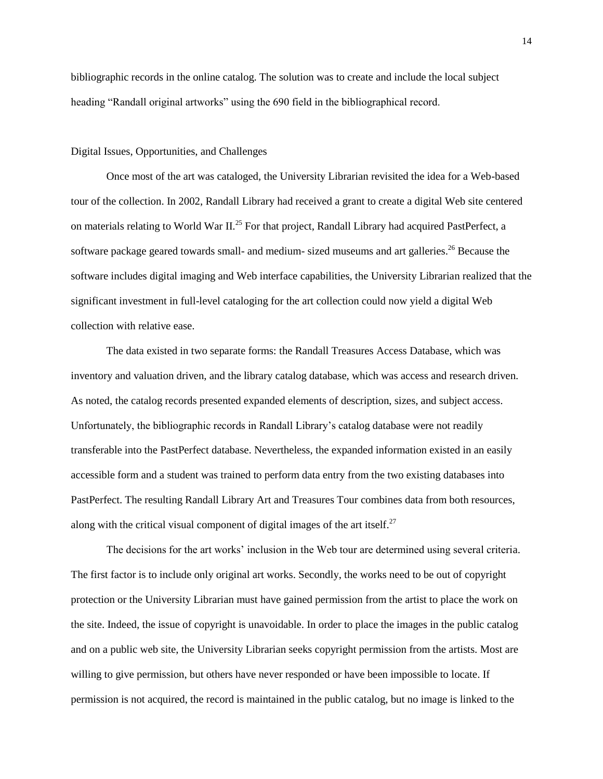bibliographic records in the online catalog. The solution was to create and include the local subject heading "Randall original artworks" using the 690 field in the bibliographical record.

# Digital Issues, Opportunities, and Challenges

Once most of the art was cataloged, the University Librarian revisited the idea for a Web-based tour of the collection. In 2002, Randall Library had received a grant to create a digital Web site centered on materials relating to World War II.<sup>25</sup> For that project, Randall Library had acquired PastPerfect, a software package geared towards small- and medium- sized museums and art galleries.<sup>26</sup> Because the software includes digital imaging and Web interface capabilities, the University Librarian realized that the significant investment in full-level cataloging for the art collection could now yield a digital Web collection with relative ease.

The data existed in two separate forms: the Randall Treasures Access Database, which was inventory and valuation driven, and the library catalog database, which was access and research driven. As noted, the catalog records presented expanded elements of description, sizes, and subject access. Unfortunately, the bibliographic records in Randall Library's catalog database were not readily transferable into the PastPerfect database. Nevertheless, the expanded information existed in an easily accessible form and a student was trained to perform data entry from the two existing databases into PastPerfect. The resulting Randall Library Art and Treasures Tour combines data from both resources, along with the critical visual component of digital images of the art itself.<sup>27</sup>

The decisions for the art works' inclusion in the Web tour are determined using several criteria. The first factor is to include only original art works. Secondly, the works need to be out of copyright protection or the University Librarian must have gained permission from the artist to place the work on the site. Indeed, the issue of copyright is unavoidable. In order to place the images in the public catalog and on a public web site, the University Librarian seeks copyright permission from the artists. Most are willing to give permission, but others have never responded or have been impossible to locate. If permission is not acquired, the record is maintained in the public catalog, but no image is linked to the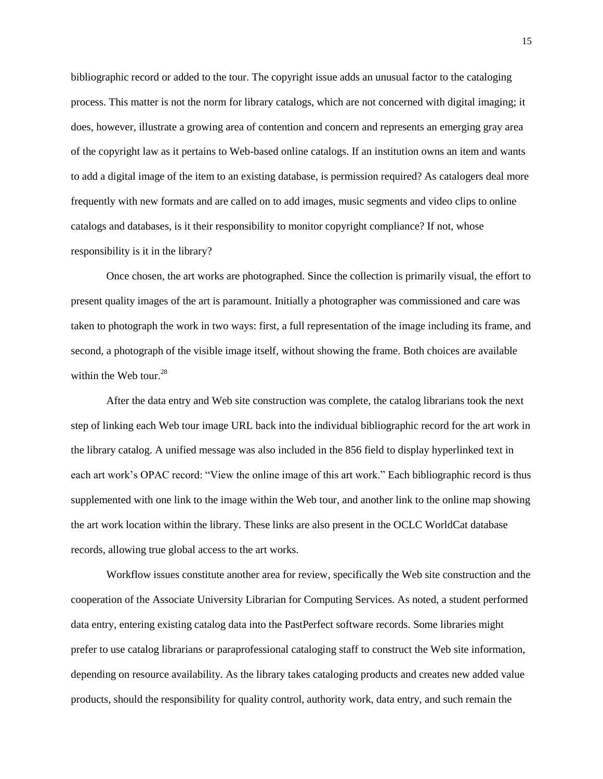bibliographic record or added to the tour. The copyright issue adds an unusual factor to the cataloging process. This matter is not the norm for library catalogs, which are not concerned with digital imaging; it does, however, illustrate a growing area of contention and concern and represents an emerging gray area of the copyright law as it pertains to Web-based online catalogs. If an institution owns an item and wants to add a digital image of the item to an existing database, is permission required? As catalogers deal more frequently with new formats and are called on to add images, music segments and video clips to online catalogs and databases, is it their responsibility to monitor copyright compliance? If not, whose responsibility is it in the library?

Once chosen, the art works are photographed. Since the collection is primarily visual, the effort to present quality images of the art is paramount. Initially a photographer was commissioned and care was taken to photograph the work in two ways: first, a full representation of the image including its frame, and second, a photograph of the visible image itself, without showing the frame. Both choices are available within the Web tour. $28$ 

After the data entry and Web site construction was complete, the catalog librarians took the next step of linking each Web tour image URL back into the individual bibliographic record for the art work in the library catalog. A unified message was also included in the 856 field to display hyperlinked text in each art work's OPAC record: "View the online image of this art work." Each bibliographic record is thus supplemented with one link to the image within the Web tour, and another link to the online map showing the art work location within the library. These links are also present in the OCLC WorldCat database records, allowing true global access to the art works.

Workflow issues constitute another area for review, specifically the Web site construction and the cooperation of the Associate University Librarian for Computing Services. As noted, a student performed data entry, entering existing catalog data into the PastPerfect software records. Some libraries might prefer to use catalog librarians or paraprofessional cataloging staff to construct the Web site information, depending on resource availability. As the library takes cataloging products and creates new added value products, should the responsibility for quality control, authority work, data entry, and such remain the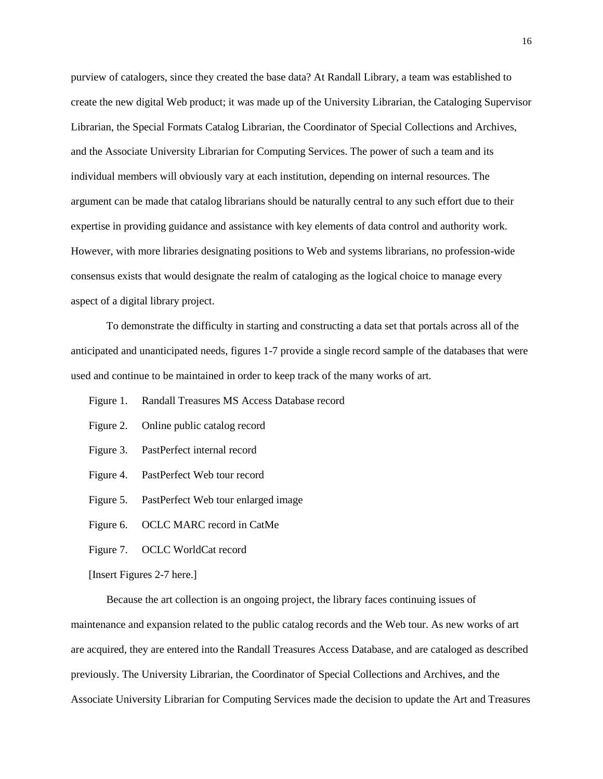purview of catalogers, since they created the base data? At Randall Library, a team was established to create the new digital Web product; it was made up of the University Librarian, the Cataloging Supervisor Librarian, the Special Formats Catalog Librarian, the Coordinator of Special Collections and Archives, and the Associate University Librarian for Computing Services. The power of such a team and its individual members will obviously vary at each institution, depending on internal resources. The argument can be made that catalog librarians should be naturally central to any such effort due to their expertise in providing guidance and assistance with key elements of data control and authority work. However, with more libraries designating positions to Web and systems librarians, no profession-wide consensus exists that would designate the realm of cataloging as the logical choice to manage every aspect of a digital library project.

To demonstrate the difficulty in starting and constructing a data set that portals across all of the anticipated and unanticipated needs, figures 1-7 provide a single record sample of the databases that were used and continue to be maintained in order to keep track of the many works of art.

- Figure 1. Randall Treasures MS Access Database record
- Figure 2. Online public catalog record
- Figure 3. PastPerfect internal record
- Figure 4. PastPerfect Web tour record
- Figure 5. PastPerfect Web tour enlarged image
- Figure 6. OCLC MARC record in CatMe
- Figure 7. OCLC WorldCat record

[Insert Figures 2-7 here.]

Because the art collection is an ongoing project, the library faces continuing issues of maintenance and expansion related to the public catalog records and the Web tour. As new works of art are acquired, they are entered into the Randall Treasures Access Database, and are cataloged as described previously. The University Librarian, the Coordinator of Special Collections and Archives, and the Associate University Librarian for Computing Services made the decision to update the Art and Treasures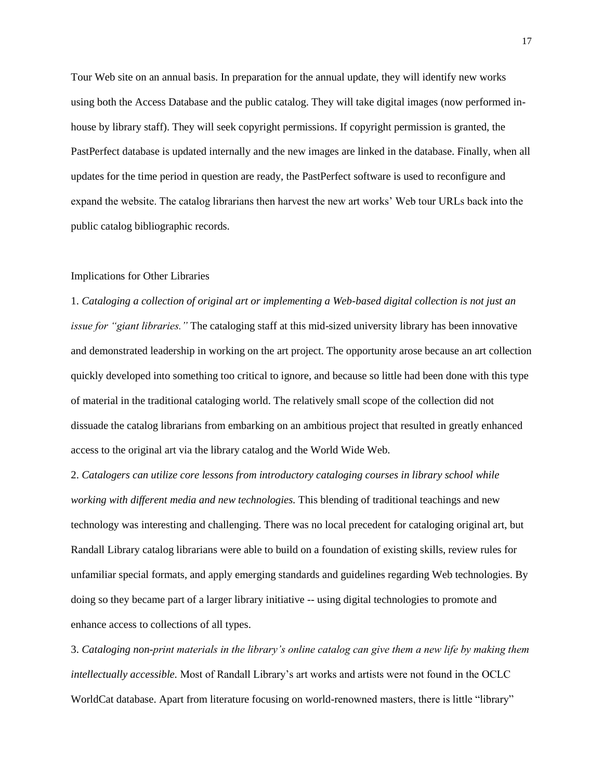Tour Web site on an annual basis. In preparation for the annual update, they will identify new works using both the Access Database and the public catalog. They will take digital images (now performed inhouse by library staff). They will seek copyright permissions. If copyright permission is granted, the PastPerfect database is updated internally and the new images are linked in the database. Finally, when all updates for the time period in question are ready, the PastPerfect software is used to reconfigure and expand the website. The catalog librarians then harvest the new art works' Web tour URLs back into the public catalog bibliographic records.

#### Implications for Other Libraries

1. *Cataloging a collection of original art or implementing a Web-based digital collection is not just an issue for "giant libraries."* The cataloging staff at this mid-sized university library has been innovative and demonstrated leadership in working on the art project. The opportunity arose because an art collection quickly developed into something too critical to ignore, and because so little had been done with this type of material in the traditional cataloging world. The relatively small scope of the collection did not dissuade the catalog librarians from embarking on an ambitious project that resulted in greatly enhanced access to the original art via the library catalog and the World Wide Web.

2. *Catalogers can utilize core lessons from introductory cataloging courses in library school while working with different media and new technologies.* This blending of traditional teachings and new technology was interesting and challenging. There was no local precedent for cataloging original art, but Randall Library catalog librarians were able to build on a foundation of existing skills, review rules for unfamiliar special formats, and apply emerging standards and guidelines regarding Web technologies. By doing so they became part of a larger library initiative -- using digital technologies to promote and enhance access to collections of all types.

3. *Cataloging non-print materials in the library's online catalog can give them a new life by making them intellectually accessible.* Most of Randall Library's art works and artists were not found in the OCLC WorldCat database. Apart from literature focusing on world-renowned masters, there is little "library"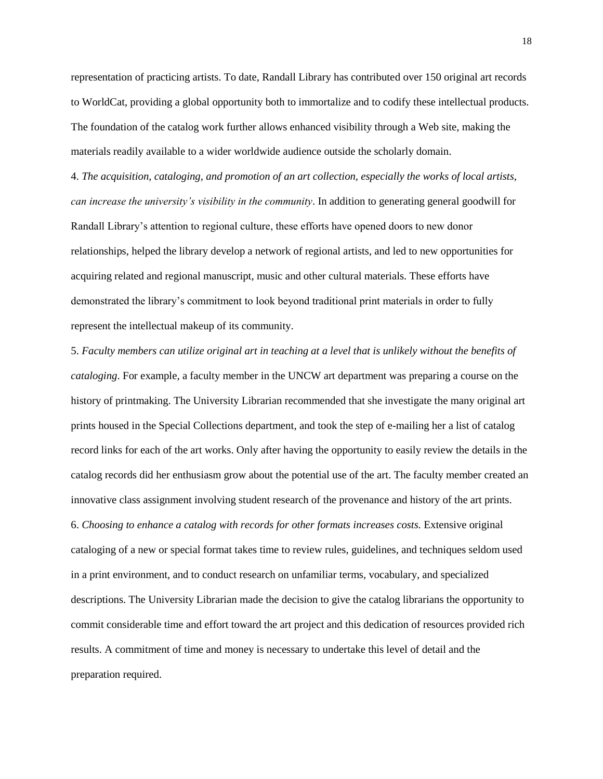representation of practicing artists. To date, Randall Library has contributed over 150 original art records to WorldCat, providing a global opportunity both to immortalize and to codify these intellectual products. The foundation of the catalog work further allows enhanced visibility through a Web site, making the materials readily available to a wider worldwide audience outside the scholarly domain.

4. *The acquisition, cataloging, and promotion of an art collection, especially the works of local artists, can increase the university's visibility in the community*. In addition to generating general goodwill for Randall Library's attention to regional culture, these efforts have opened doors to new donor relationships, helped the library develop a network of regional artists, and led to new opportunities for acquiring related and regional manuscript, music and other cultural materials. These efforts have demonstrated the library's commitment to look beyond traditional print materials in order to fully represent the intellectual makeup of its community.

5. *Faculty members can utilize original art in teaching at a level that is unlikely without the benefits of cataloging*. For example, a faculty member in the UNCW art department was preparing a course on the history of printmaking. The University Librarian recommended that she investigate the many original art prints housed in the Special Collections department, and took the step of e-mailing her a list of catalog record links for each of the art works. Only after having the opportunity to easily review the details in the catalog records did her enthusiasm grow about the potential use of the art. The faculty member created an innovative class assignment involving student research of the provenance and history of the art prints. 6. *Choosing to enhance a catalog with records for other formats increases costs.* Extensive original cataloging of a new or special format takes time to review rules, guidelines, and techniques seldom used in a print environment, and to conduct research on unfamiliar terms, vocabulary, and specialized descriptions. The University Librarian made the decision to give the catalog librarians the opportunity to commit considerable time and effort toward the art project and this dedication of resources provided rich results. A commitment of time and money is necessary to undertake this level of detail and the preparation required.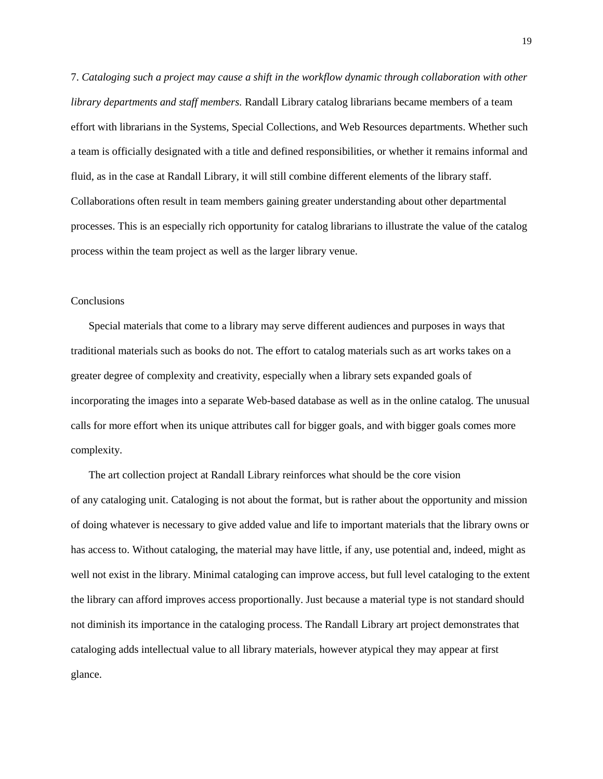7. *Cataloging such a project may cause a shift in the workflow dynamic through collaboration with other library departments and staff members.* Randall Library catalog librarians became members of a team effort with librarians in the Systems, Special Collections, and Web Resources departments. Whether such a team is officially designated with a title and defined responsibilities, or whether it remains informal and fluid, as in the case at Randall Library, it will still combine different elements of the library staff. Collaborations often result in team members gaining greater understanding about other departmental processes. This is an especially rich opportunity for catalog librarians to illustrate the value of the catalog process within the team project as well as the larger library venue.

#### Conclusions

Special materials that come to a library may serve different audiences and purposes in ways that traditional materials such as books do not. The effort to catalog materials such as art works takes on a greater degree of complexity and creativity, especially when a library sets expanded goals of incorporating the images into a separate Web-based database as well as in the online catalog. The unusual calls for more effort when its unique attributes call for bigger goals, and with bigger goals comes more complexity.

The art collection project at Randall Library reinforces what should be the core vision of any cataloging unit. Cataloging is not about the format, but is rather about the opportunity and mission of doing whatever is necessary to give added value and life to important materials that the library owns or has access to. Without cataloging, the material may have little, if any, use potential and, indeed, might as well not exist in the library. Minimal cataloging can improve access, but full level cataloging to the extent the library can afford improves access proportionally. Just because a material type is not standard should not diminish its importance in the cataloging process. The Randall Library art project demonstrates that cataloging adds intellectual value to all library materials, however atypical they may appear at first glance.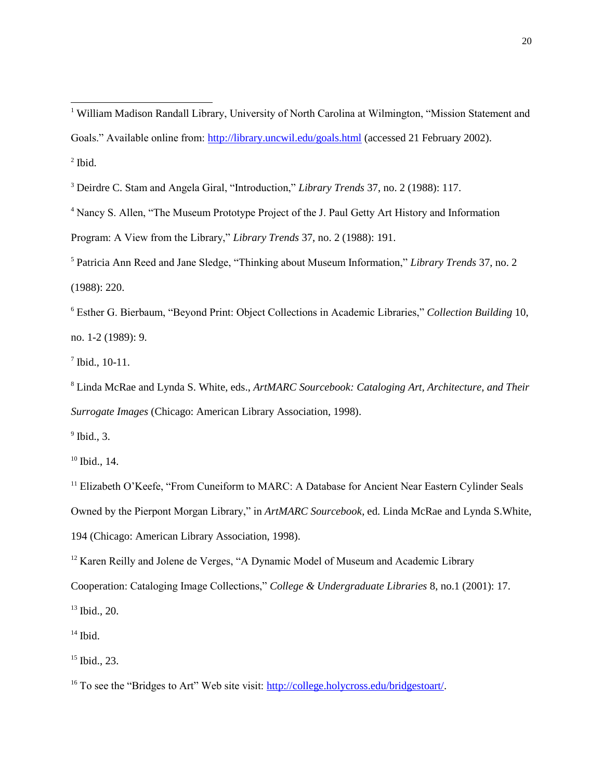<sup>4</sup> Nancy S. Allen, "The Museum Prototype Project of the J. Paul Getty Art History and Information

Program: A View from the Library," *Library Trends* 37, no. 2 (1988): 191.

<sup>5</sup> Patricia Ann Reed and Jane Sledge, "Thinking about Museum Information," *Library Trends* 37, no. 2 (1988): 220.

<sup>6</sup> Esther G. Bierbaum, "Beyond Print: Object Collections in Academic Libraries," *Collection Building* 10, no. 1-2 (1989): 9.

7 Ibid., 10-11.

 $\overline{a}$ 

<sup>8</sup> Linda McRae and Lynda S. White, eds., *ArtMARC Sourcebook: Cataloging Art, Architecture, and Their Surrogate Images* (Chicago: American Library Association, 1998).

 $<sup>9</sup>$  Ibid., 3.</sup>

 $10$  Ibid., 14.

<sup>11</sup> Elizabeth O'Keefe, "From Cuneiform to MARC: A Database for Ancient Near Eastern Cylinder Seals Owned by the Pierpont Morgan Library," in *ArtMARC Sourcebook*, ed. Linda McRae and Lynda S.White, 194 (Chicago: American Library Association, 1998).

<sup>12</sup> Karen Reilly and Jolene de Verges, "A Dynamic Model of Museum and Academic Library Cooperation: Cataloging Image Collections," *College & Undergraduate Libraries* 8, no.1 (2001): 17. <sup>13</sup> Ibid., 20.

 $14$  Ibid.

<sup>15</sup> Ibid., 23.

<sup>16</sup> To see the "Bridges to Art" Web site visit: [http://college.holycross.edu/bridgestoart/.](http://college.holycross.edu/bridgestoart/)

<sup>&</sup>lt;sup>1</sup> William Madison Randall Library, University of North Carolina at Wilmington, "Mission Statement and Goals." Available online from:<http://library.uncwil.edu/goals.html> (accessed 21 February 2002).  $<sup>2</sup>$  Ibid.</sup>

<sup>3</sup> Deirdre C. Stam and Angela Giral, "Introduction," *Library Trends* 37, no. 2 (1988): 117.